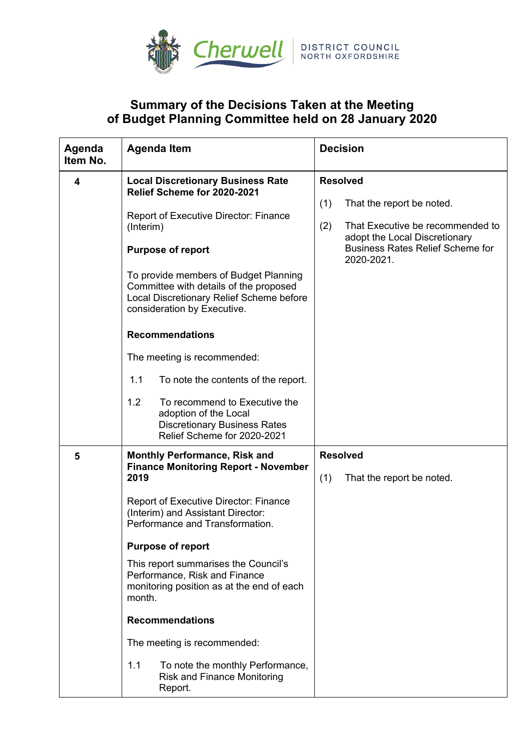

## **Summary of the Decisions Taken at the Meeting of Budget Planning Committee held on 28 January 2020**

| Agenda<br>Item No. | <b>Agenda Item</b>                                                                                                                                                                                                                                                                                                                                                                                                                                                                                                                   | <b>Decision</b>                                                                                                                                                                          |
|--------------------|--------------------------------------------------------------------------------------------------------------------------------------------------------------------------------------------------------------------------------------------------------------------------------------------------------------------------------------------------------------------------------------------------------------------------------------------------------------------------------------------------------------------------------------|------------------------------------------------------------------------------------------------------------------------------------------------------------------------------------------|
| 4                  | <b>Local Discretionary Business Rate</b><br>Relief Scheme for 2020-2021<br><b>Report of Executive Director: Finance</b><br>(Interim)<br><b>Purpose of report</b><br>To provide members of Budget Planning<br>Committee with details of the proposed<br>Local Discretionary Relief Scheme before<br>consideration by Executive.<br><b>Recommendations</b>                                                                                                                                                                             | <b>Resolved</b><br>(1)<br>That the report be noted.<br>(2)<br>That Executive be recommended to<br>adopt the Local Discretionary<br><b>Business Rates Relief Scheme for</b><br>2020-2021. |
|                    | The meeting is recommended:<br>1.1<br>To note the contents of the report.<br>1.2<br>To recommend to Executive the<br>adoption of the Local<br><b>Discretionary Business Rates</b><br>Relief Scheme for 2020-2021                                                                                                                                                                                                                                                                                                                     |                                                                                                                                                                                          |
| 5                  | <b>Monthly Performance, Risk and</b><br><b>Finance Monitoring Report - November</b><br>2019<br><b>Report of Executive Director: Finance</b><br>(Interim) and Assistant Director:<br>Performance and Transformation.<br><b>Purpose of report</b><br>This report summarises the Council's<br>Performance, Risk and Finance<br>monitoring position as at the end of each<br>month.<br><b>Recommendations</b><br>The meeting is recommended:<br>1.1<br>To note the monthly Performance,<br><b>Risk and Finance Monitoring</b><br>Report. | <b>Resolved</b><br>(1)<br>That the report be noted.                                                                                                                                      |